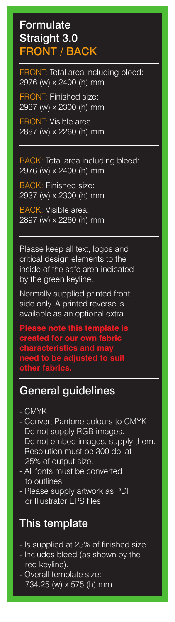Formulate Straight 3.0 FRONT / BACK

FRONT: Total area including bleed: 2976 (w) x 2400 (h) mm

FRONT: Finished size: 2937 (w) x 2300 (h) mm

FRONT: Visible area: 2897 (w) x 2260 (h) mm

BACK: Total area including bleed: 2976 (w) x 2400 (h) mm

BACK: Finished size: 2937 (w) x 2300 (h) mm

BACK: Visible area: 2897 (w) x 2260 (h) mm

Please keep all text, logos and critical design elements to the inside of the safe area indicated by the green keyline.

Normally supplied printed front side only. A printed reverse is available as an optional extra.

**Please note this template is created for our own fabric characteristics and may need to be adjusted to suit other fabrics.**

## General guidelines

- CMYK

- Convert Pantone colours to CMYK.
- Do not supply RGB images.
- Do not embed images, supply them.
- Resolution must be 300 dpi at 25% of output size.
- All fonts must be converted to outlines.
- Please supply artwork as PDF or Illustrator EPS files.

## This template

- Is supplied at 25% of finished size.
- Includes bleed (as shown by the red keyline).
- Overall template size: 734.25 (w) x 575 (h) mm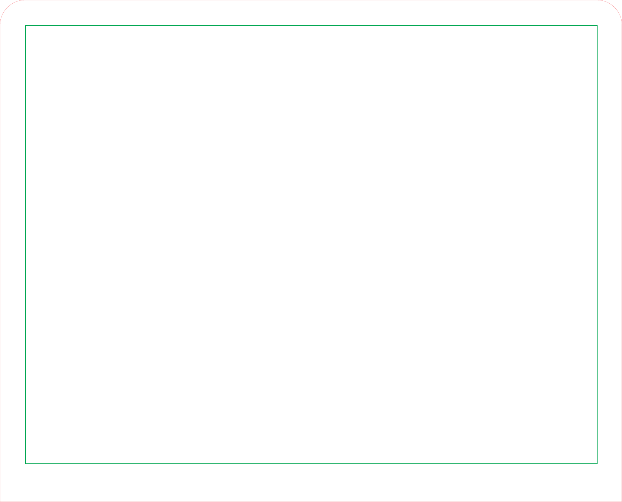